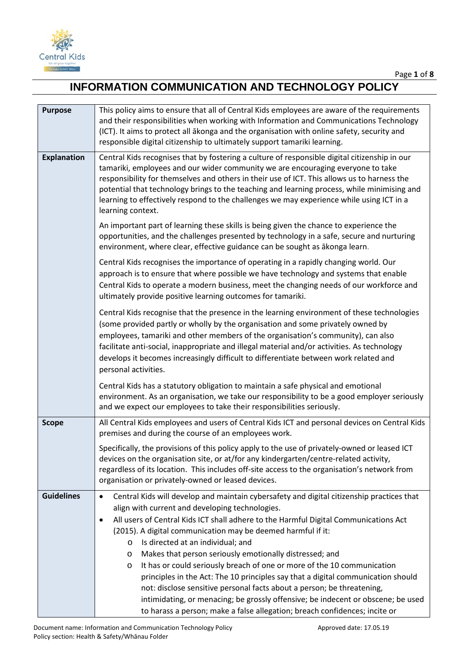

| <b>Purpose</b>     | This policy aims to ensure that all of Central Kids employees are aware of the requirements<br>and their responsibilities when working with Information and Communications Technology<br>(ICT). It aims to protect all akonga and the organisation with online safety, security and<br>responsible digital citizenship to ultimately support tamariki learning.                                                                                                                                                                                                                                                                                                                                                                                                                                                                                                |
|--------------------|----------------------------------------------------------------------------------------------------------------------------------------------------------------------------------------------------------------------------------------------------------------------------------------------------------------------------------------------------------------------------------------------------------------------------------------------------------------------------------------------------------------------------------------------------------------------------------------------------------------------------------------------------------------------------------------------------------------------------------------------------------------------------------------------------------------------------------------------------------------|
| <b>Explanation</b> | Central Kids recognises that by fostering a culture of responsible digital citizenship in our<br>tamariki, employees and our wider community we are encouraging everyone to take<br>responsibility for themselves and others in their use of ICT. This allows us to harness the<br>potential that technology brings to the teaching and learning process, while minimising and<br>learning to effectively respond to the challenges we may experience while using ICT in a<br>learning context.                                                                                                                                                                                                                                                                                                                                                                |
|                    | An important part of learning these skills is being given the chance to experience the<br>opportunities, and the challenges presented by technology in a safe, secure and nurturing<br>environment, where clear, effective guidance can be sought as ākonga learn.                                                                                                                                                                                                                                                                                                                                                                                                                                                                                                                                                                                             |
|                    | Central Kids recognises the importance of operating in a rapidly changing world. Our<br>approach is to ensure that where possible we have technology and systems that enable<br>Central Kids to operate a modern business, meet the changing needs of our workforce and<br>ultimately provide positive learning outcomes for tamariki.                                                                                                                                                                                                                                                                                                                                                                                                                                                                                                                         |
|                    | Central Kids recognise that the presence in the learning environment of these technologies<br>(some provided partly or wholly by the organisation and some privately owned by<br>employees, tamariki and other members of the organisation's community), can also<br>facilitate anti-social, inappropriate and illegal material and/or activities. As technology<br>develops it becomes increasingly difficult to differentiate between work related and<br>personal activities.                                                                                                                                                                                                                                                                                                                                                                               |
|                    | Central Kids has a statutory obligation to maintain a safe physical and emotional<br>environment. As an organisation, we take our responsibility to be a good employer seriously<br>and we expect our employees to take their responsibilities seriously.                                                                                                                                                                                                                                                                                                                                                                                                                                                                                                                                                                                                      |
| <b>Scope</b>       | All Central Kids employees and users of Central Kids ICT and personal devices on Central Kids<br>premises and during the course of an employees work.                                                                                                                                                                                                                                                                                                                                                                                                                                                                                                                                                                                                                                                                                                          |
|                    | Specifically, the provisions of this policy apply to the use of privately-owned or leased ICT<br>devices on the organisation site, or at/for any kindergarten/centre-related activity,<br>regardless of its location. This includes off-site access to the organisation's network from<br>organisation or privately-owned or leased devices.                                                                                                                                                                                                                                                                                                                                                                                                                                                                                                                   |
| <b>Guidelines</b>  | Central Kids will develop and maintain cybersafety and digital citizenship practices that<br>$\bullet$<br>align with current and developing technologies.<br>All users of Central Kids ICT shall adhere to the Harmful Digital Communications Act<br>$\bullet$<br>(2015). A digital communication may be deemed harmful if it:<br>Is directed at an individual; and<br>$\circ$<br>Makes that person seriously emotionally distressed; and<br>O<br>It has or could seriously breach of one or more of the 10 communication<br>O<br>principles in the Act: The 10 principles say that a digital communication should<br>not: disclose sensitive personal facts about a person; be threatening,<br>intimidating, or menacing; be grossly offensive; be indecent or obscene; be used<br>to harass a person; make a false allegation; breach confidences; incite or |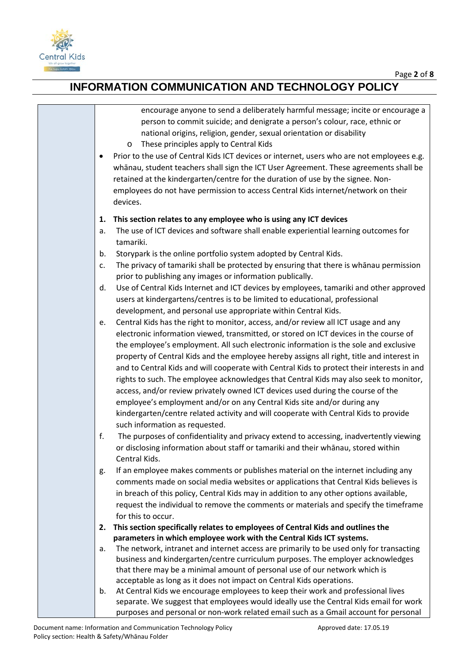

| encourage anyone to send a deliberately harmful message; incite or encourage a<br>person to commit suicide; and denigrate a person's colour, race, ethnic or<br>national origins, religion, gender, sexual orientation or disability<br>These principles apply to Central Kids<br>O                                                                                     |  |
|-------------------------------------------------------------------------------------------------------------------------------------------------------------------------------------------------------------------------------------------------------------------------------------------------------------------------------------------------------------------------|--|
| Prior to the use of Central Kids ICT devices or internet, users who are not employees e.g.<br>whanau, student teachers shall sign the ICT User Agreement. These agreements shall be<br>retained at the kindergarten/centre for the duration of use by the signee. Non-<br>employees do not have permission to access Central Kids internet/network on their<br>devices. |  |
| This section relates to any employee who is using any ICT devices<br>1.                                                                                                                                                                                                                                                                                                 |  |
| The use of ICT devices and software shall enable experiential learning outcomes for<br>a.<br>tamariki.                                                                                                                                                                                                                                                                  |  |
| Storypark is the online portfolio system adopted by Central Kids.<br>b.                                                                                                                                                                                                                                                                                                 |  |
| The privacy of tamariki shall be protected by ensuring that there is whanau permission<br>c.<br>prior to publishing any images or information publically.                                                                                                                                                                                                               |  |
| Use of Central Kids Internet and ICT devices by employees, tamariki and other approved<br>d.<br>users at kindergartens/centres is to be limited to educational, professional                                                                                                                                                                                            |  |
| development, and personal use appropriate within Central Kids.<br>Central Kids has the right to monitor, access, and/or review all ICT usage and any                                                                                                                                                                                                                    |  |
| е.<br>electronic information viewed, transmitted, or stored on ICT devices in the course of                                                                                                                                                                                                                                                                             |  |
| the employee's employment. All such electronic information is the sole and exclusive                                                                                                                                                                                                                                                                                    |  |
| property of Central Kids and the employee hereby assigns all right, title and interest in                                                                                                                                                                                                                                                                               |  |
| and to Central Kids and will cooperate with Central Kids to protect their interests in and                                                                                                                                                                                                                                                                              |  |
| rights to such. The employee acknowledges that Central Kids may also seek to monitor,                                                                                                                                                                                                                                                                                   |  |
| access, and/or review privately owned ICT devices used during the course of the                                                                                                                                                                                                                                                                                         |  |
| employee's employment and/or on any Central Kids site and/or during any                                                                                                                                                                                                                                                                                                 |  |
| kindergarten/centre related activity and will cooperate with Central Kids to provide                                                                                                                                                                                                                                                                                    |  |
| such information as requested.                                                                                                                                                                                                                                                                                                                                          |  |
| f.<br>The purposes of confidentiality and privacy extend to accessing, inadvertently viewing                                                                                                                                                                                                                                                                            |  |
| or disclosing information about staff or tamariki and their whanau, stored within                                                                                                                                                                                                                                                                                       |  |
| Central Kids.                                                                                                                                                                                                                                                                                                                                                           |  |
| If an employee makes comments or publishes material on the internet including any<br>g.                                                                                                                                                                                                                                                                                 |  |
| comments made on social media websites or applications that Central Kids believes is                                                                                                                                                                                                                                                                                    |  |
| in breach of this policy, Central Kids may in addition to any other options available,                                                                                                                                                                                                                                                                                  |  |
| request the individual to remove the comments or materials and specify the timeframe                                                                                                                                                                                                                                                                                    |  |
| for this to occur.                                                                                                                                                                                                                                                                                                                                                      |  |
| This section specifically relates to employees of Central Kids and outlines the<br>2.                                                                                                                                                                                                                                                                                   |  |
| parameters in which employee work with the Central Kids ICT systems.                                                                                                                                                                                                                                                                                                    |  |
| The network, intranet and internet access are primarily to be used only for transacting<br>а.                                                                                                                                                                                                                                                                           |  |
| business and kindergarten/centre curriculum purposes. The employer acknowledges                                                                                                                                                                                                                                                                                         |  |
| that there may be a minimal amount of personal use of our network which is<br>acceptable as long as it does not impact on Central Kids operations.                                                                                                                                                                                                                      |  |
| At Central Kids we encourage employees to keep their work and professional lives<br>b.                                                                                                                                                                                                                                                                                  |  |
| separate. We suggest that employees would ideally use the Central Kids email for work                                                                                                                                                                                                                                                                                   |  |
| purposes and personal or non-work related email such as a Gmail account for personal                                                                                                                                                                                                                                                                                    |  |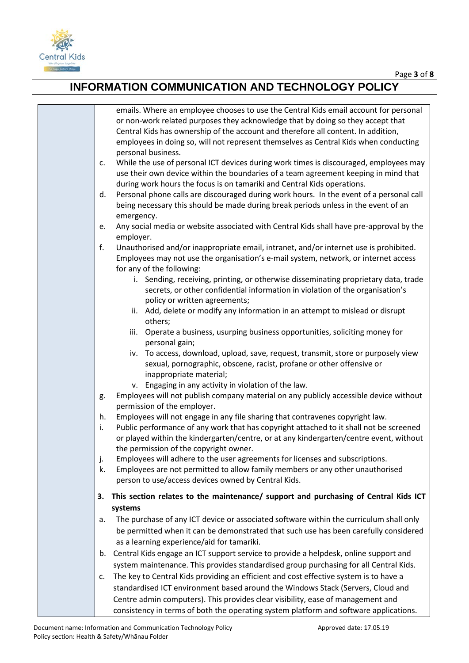

|          | emails. Where an employee chooses to use the Central Kids email account for personal<br>or non-work related purposes they acknowledge that by doing so they accept that<br>Central Kids has ownership of the account and therefore all content. In addition,<br>employees in doing so, will not represent themselves as Central Kids when conducting                              |
|----------|-----------------------------------------------------------------------------------------------------------------------------------------------------------------------------------------------------------------------------------------------------------------------------------------------------------------------------------------------------------------------------------|
| c.       | personal business.<br>While the use of personal ICT devices during work times is discouraged, employees may<br>use their own device within the boundaries of a team agreement keeping in mind that<br>during work hours the focus is on tamariki and Central Kids operations.                                                                                                     |
|          | Personal phone calls are discouraged during work hours. In the event of a personal call<br>d.<br>being necessary this should be made during break periods unless in the event of an<br>emergency.                                                                                                                                                                                 |
|          | Any social media or website associated with Central Kids shall have pre-approval by the<br>e.<br>employer.                                                                                                                                                                                                                                                                        |
| f.       | Unauthorised and/or inappropriate email, intranet, and/or internet use is prohibited.<br>Employees may not use the organisation's e-mail system, network, or internet access<br>for any of the following:<br>i. Sending, receiving, printing, or otherwise disseminating proprietary data, trade<br>secrets, or other confidential information in violation of the organisation's |
|          | policy or written agreements;<br>ii. Add, delete or modify any information in an attempt to mislead or disrupt<br>others;                                                                                                                                                                                                                                                         |
|          | Operate a business, usurping business opportunities, soliciting money for<br>iii.<br>personal gain;                                                                                                                                                                                                                                                                               |
|          | iv. To access, download, upload, save, request, transmit, store or purposely view<br>sexual, pornographic, obscene, racist, profane or other offensive or<br>inappropriate material;                                                                                                                                                                                              |
| g.       | v. Engaging in any activity in violation of the law.<br>Employees will not publish company material on any publicly accessible device without<br>permission of the employer.                                                                                                                                                                                                      |
| i.       | Employees will not engage in any file sharing that contravenes copyright law.<br>h.<br>Public performance of any work that has copyright attached to it shall not be screened<br>or played within the kindergarten/centre, or at any kindergarten/centre event, without<br>the permission of the copyright owner.                                                                 |
| j.<br>k. | Employees will adhere to the user agreements for licenses and subscriptions.<br>Employees are not permitted to allow family members or any other unauthorised<br>person to use/access devices owned by Central Kids.                                                                                                                                                              |
| З.       | This section relates to the maintenance/ support and purchasing of Central Kids ICT<br>systems                                                                                                                                                                                                                                                                                    |
| a.       | The purchase of any ICT device or associated software within the curriculum shall only<br>be permitted when it can be demonstrated that such use has been carefully considered<br>as a learning experience/aid for tamariki.                                                                                                                                                      |
|          | b. Central Kids engage an ICT support service to provide a helpdesk, online support and<br>system maintenance. This provides standardised group purchasing for all Central Kids.                                                                                                                                                                                                  |
| c.       | The key to Central Kids providing an efficient and cost effective system is to have a<br>standardised ICT environment based around the Windows Stack (Servers, Cloud and<br>Centre admin computers). This provides clear visibility, ease of management and<br>consistency in terms of both the operating system platform and software applications.                              |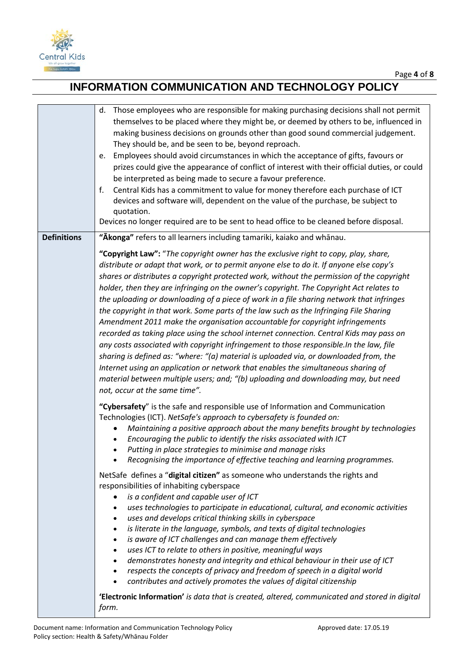

|                    | Those employees who are responsible for making purchasing decisions shall not permit<br>d.<br>themselves to be placed where they might be, or deemed by others to be, influenced in<br>making business decisions on grounds other than good sound commercial judgement.<br>They should be, and be seen to be, beyond reproach.<br>Employees should avoid circumstances in which the acceptance of gifts, favours or<br>e.<br>prizes could give the appearance of conflict of interest with their official duties, or could<br>be interpreted as being made to secure a favour preference.<br>Central Kids has a commitment to value for money therefore each purchase of ICT<br>f.<br>devices and software will, dependent on the value of the purchase, be subject to<br>quotation.<br>Devices no longer required are to be sent to head office to be cleaned before disposal.                                                                                                                                                                                                                                                       |
|--------------------|---------------------------------------------------------------------------------------------------------------------------------------------------------------------------------------------------------------------------------------------------------------------------------------------------------------------------------------------------------------------------------------------------------------------------------------------------------------------------------------------------------------------------------------------------------------------------------------------------------------------------------------------------------------------------------------------------------------------------------------------------------------------------------------------------------------------------------------------------------------------------------------------------------------------------------------------------------------------------------------------------------------------------------------------------------------------------------------------------------------------------------------|
| <b>Definitions</b> | "Akonga" refers to all learners including tamariki, kaiako and whanau.                                                                                                                                                                                                                                                                                                                                                                                                                                                                                                                                                                                                                                                                                                                                                                                                                                                                                                                                                                                                                                                                |
|                    | "Copyright Law": "The copyright owner has the exclusive right to copy, play, share,<br>distribute or adapt that work, or to permit anyone else to do it. If anyone else copy's<br>shares or distributes a copyright protected work, without the permission of the copyright<br>holder, then they are infringing on the owner's copyright. The Copyright Act relates to<br>the uploading or downloading of a piece of work in a file sharing network that infringes<br>the copyright in that work. Some parts of the law such as the Infringing File Sharing<br>Amendment 2011 make the organisation accountable for copyright infringements<br>recorded as taking place using the school internet connection. Central Kids may pass on<br>any costs associated with copyright infringement to those responsible.In the law, file<br>sharing is defined as: "where: "(a) material is uploaded via, or downloaded from, the<br>Internet using an application or network that enables the simultaneous sharing of<br>material between multiple users; and; "(b) uploading and downloading may, but need<br>not, occur at the same time". |
|                    | "Cybersafety" is the safe and responsible use of Information and Communication<br>Technologies (ICT). NetSafe's approach to cybersafety is founded on:<br>Maintaining a positive approach about the many benefits brought by technologies<br>Encouraging the public to identify the risks associated with ICT<br>Putting in place strategies to minimise and manage risks<br>$\bullet$<br>Recognising the importance of effective teaching and learning programmes.<br>NetSafe defines a "digital citizen" as someone who understands the rights and<br>responsibilities of inhabiting cyberspace<br>is a confident and capable user of ICT<br>uses technologies to participate in educational, cultural, and economic activities<br>$\bullet$<br>uses and develops critical thinking skills in cyberspace<br>$\bullet$<br>is literate in the language, symbols, and texts of digital technologies<br>$\bullet$                                                                                                                                                                                                                       |
|                    | is aware of ICT challenges and can manage them effectively<br>$\bullet$<br>uses ICT to relate to others in positive, meaningful ways<br>$\bullet$<br>demonstrates honesty and integrity and ethical behaviour in their use of ICT<br>$\bullet$<br>respects the concepts of privacy and freedom of speech in a digital world<br>$\bullet$<br>contributes and actively promotes the values of digital citizenship<br>$\bullet$<br>'Electronic Information' is data that is created, altered, communicated and stored in digital                                                                                                                                                                                                                                                                                                                                                                                                                                                                                                                                                                                                         |
|                    | form.                                                                                                                                                                                                                                                                                                                                                                                                                                                                                                                                                                                                                                                                                                                                                                                                                                                                                                                                                                                                                                                                                                                                 |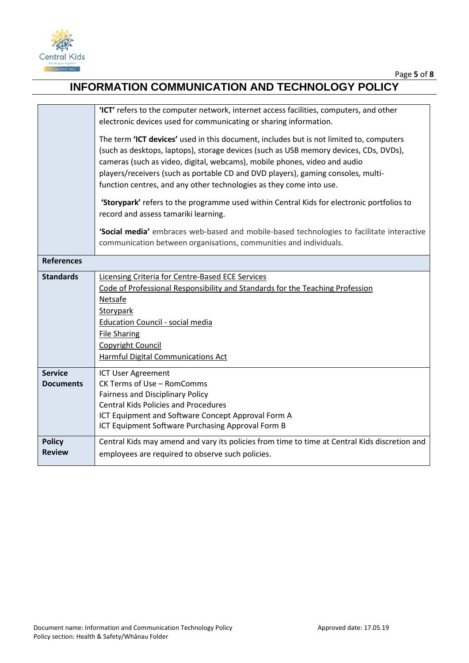

|                                | 'ICT' refers to the computer network, internet access facilities, computers, and other<br>electronic devices used for communicating or sharing information.                                                                                                                                                                                                                                                              |
|--------------------------------|--------------------------------------------------------------------------------------------------------------------------------------------------------------------------------------------------------------------------------------------------------------------------------------------------------------------------------------------------------------------------------------------------------------------------|
|                                | The term 'ICT devices' used in this document, includes but is not limited to, computers<br>(such as desktops, laptops), storage devices (such as USB memory devices, CDs, DVDs),<br>cameras (such as video, digital, webcams), mobile phones, video and audio<br>players/receivers (such as portable CD and DVD players), gaming consoles, multi-<br>function centres, and any other technologies as they come into use. |
|                                | 'Storypark' refers to the programme used within Central Kids for electronic portfolios to<br>record and assess tamariki learning.                                                                                                                                                                                                                                                                                        |
|                                | 'Social media' embraces web-based and mobile-based technologies to facilitate interactive<br>communication between organisations, communities and individuals.                                                                                                                                                                                                                                                           |
| <b>References</b>              |                                                                                                                                                                                                                                                                                                                                                                                                                          |
| <b>Standards</b>               | Licensing Criteria for Centre-Based ECE Services<br>Code of Professional Responsibility and Standards for the Teaching Profession<br><b>Netsafe</b><br>Storypark<br><b>Education Council - social media</b><br><b>File Sharing</b><br>Copyright Council<br>Harmful Digital Communications Act                                                                                                                            |
| <b>Service</b>                 | <b>ICT User Agreement</b>                                                                                                                                                                                                                                                                                                                                                                                                |
| <b>Documents</b>               | CK Terms of Use - RomComms<br><b>Fairness and Disciplinary Policy</b>                                                                                                                                                                                                                                                                                                                                                    |
|                                | <b>Central Kids Policies and Procedures</b>                                                                                                                                                                                                                                                                                                                                                                              |
|                                | ICT Equipment and Software Concept Approval Form A<br>ICT Equipment Software Purchasing Approval Form B                                                                                                                                                                                                                                                                                                                  |
| <b>Policy</b><br><b>Review</b> | Central Kids may amend and vary its policies from time to time at Central Kids discretion and<br>employees are required to observe such policies.                                                                                                                                                                                                                                                                        |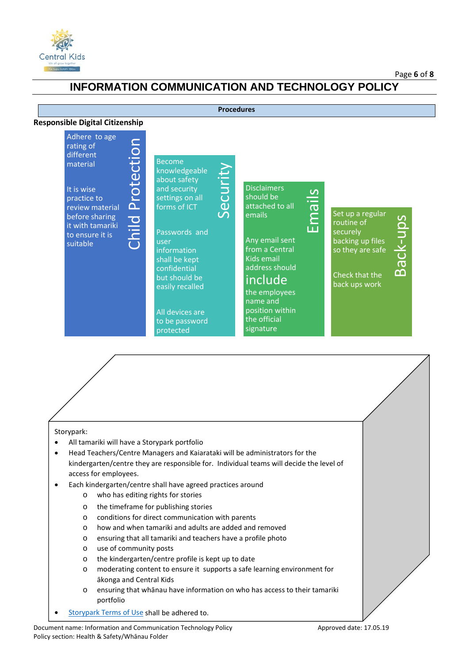

#### Page **6** of **8**

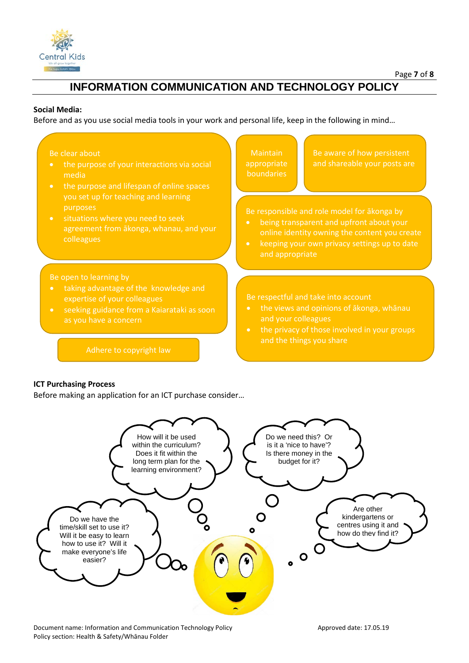

### **Social Media:**

Before and as you use social media tools in your work and personal life, keep in the following in mind…

#### Be clear about

- media
- the purpose and lifespan of online spaces purposes
- agreement from ākonga, whanau, and your colleagues

Be open to learning by

- taking advantage of the knowledge and expertise of your colleagues
- seeking guidance from a Kaiarataki as soon

Adhere to copyright law

**Maintain** appropriate

Be aware of how persistent and shareable your posts are

- being transparent and upfront about your
- keeping your own privacy settings up to date and appropriate

- the views and opinions of ākonga, whānau and your colleagues
- and the things you share

#### **ICT Purchasing Process**

Before making an application for an ICT purchase consider…



Document name: Information and Communication Technology Policy **Approved date: 17.05.19** Approved date: 17.05.19 Policy section: Health & Safety/Whānau Folder